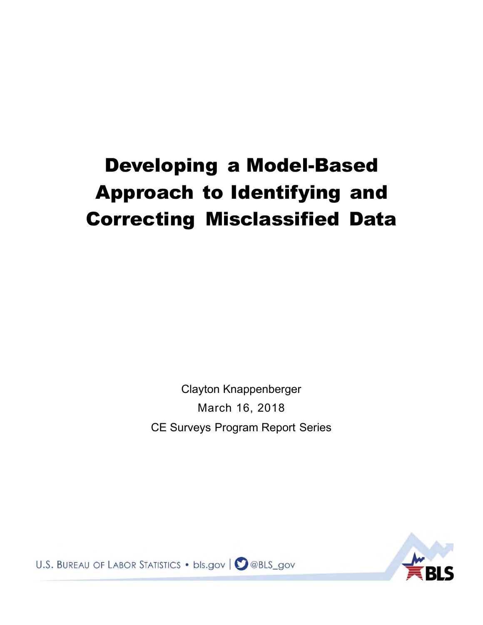# Developing a Model-Based Approach to Identifying and Correcting Misclassified Data

Clayton Knappenberger March 16, 2018 CE Surveys Program Report Series



U.S. BUREAU OF LABOR STATISTICS . bls.gov | 2 @BLS\_gov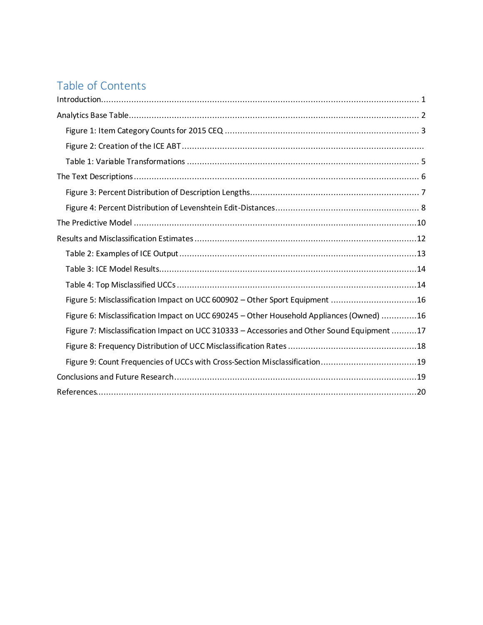## Table of Contents

| Figure 5: Misclassification Impact on UCC 600902 - Other Sport Equipment 16                 |
|---------------------------------------------------------------------------------------------|
| Figure 6: Misclassification Impact on UCC 690245 - Other Household Appliances (Owned) 16    |
| Figure 7: Misclassification Impact on UCC 310333 - Accessories and Other Sound Equipment 17 |
|                                                                                             |
| Figure 9: Count Frequencies of UCCs with Cross-Section Misclassification19                  |
|                                                                                             |
|                                                                                             |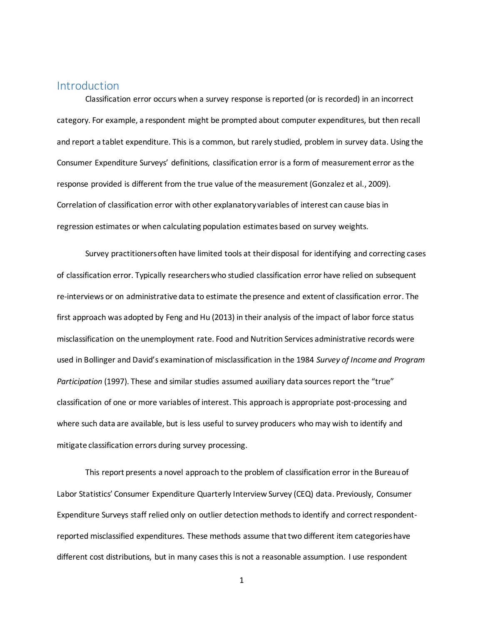## <span id="page-2-0"></span>**Introduction**

 Classification error occurs when a survey response is reported (or is recorded) in an incorrect category. For example, a respondent might be prompted about computer expenditures, but then recall and report a tablet expenditure. This is a common, but rarely studied, problem in survey data. Using the Consumer Expenditure Surveys' definitions, classification error is a form of measurement error as the response provided is different from the true value of the measurement (Gonzalez et al., 2009). Correlation of classification error with other explanatory variables of interest can cause bias in regression estimates or when calculating population estimates based on survey weights.

 Survey practitioners often have limited tools at their disposal for identifying and correcting cases of classification error. Typically researchers who studied classification error have relied on subsequent re-interviews or on administrative data to estimate the presence and extent of classification error. The first approach was adopted by Feng and Hu (2013) in their analysis of the impact of labor force status misclassification on the unemployment rate. Food and Nutrition Services administrative records were used in Bollinger and David's examination of misclassification in the 1984 *Survey of Income and Program Participation* (1997). These and similar studies assumed auxiliary data sources report the "true" classification of one or more variables of interest. This approach is appropriate post-processing and where such data are available, but is less useful to survey producers who may wish to identify and mitigate classification errors during survey processing.

This report presents a novel approach to the problem of classification error in the Bureau of Labor Statistics' Consumer Expenditure Quarterly Interview Survey (CEQ) data. Previously, Consumer Expenditure Surveys staff relied only on outlier detection methods to identify and correct respondentreported misclassified expenditures. These methods assume that two different item categories have different cost distributions, but in many cases this is not a reasonable assumption. I use respondent

1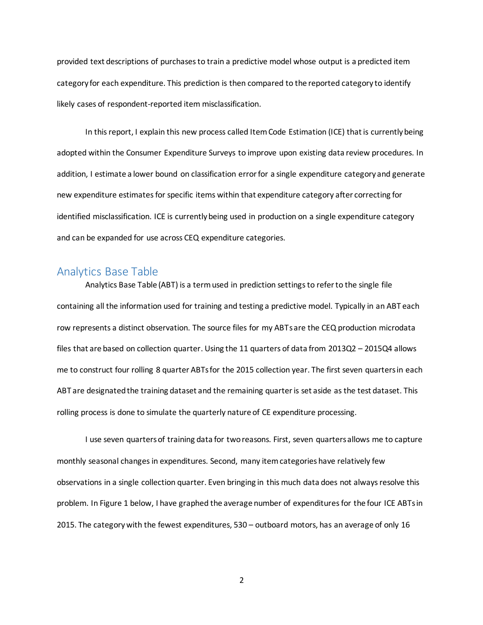provided text descriptions of purchases to train a predictive model whose output is a predicted item category for each expenditure. This prediction is then compared to the reported category to identify likely cases of respondent-reported item misclassification.

In this report, I explain this new process called Item Code Estimation (ICE) that is currently being adopted within the Consumer Expenditure Surveys to improve upon existing data review procedures. In addition, I estimate a lower bound on classification error for a single expenditure category and generate new expenditure estimates for specific items within that expenditure category after correcting for identified misclassification. ICE is currently being used in production on a single expenditure category and can be expanded for use across CEQ expenditure categories.

## <span id="page-3-0"></span>Analytics Base Table

 Analytics Base Table (ABT) is a term used in prediction settings to refer to the single file containing all the information used for training and testing a predictive model. Typically in an ABT each row represents a distinct observation. The source files for my ABTs are the CEQ production microdata files that are based on collection quarter. Using the 11 quarters of data from 2013Q2 – 2015Q4 allows me to construct four rolling 8 quarter ABTs for the 2015 collection year. The first seven quarters in each ABT are designated the training dataset and the remaining quarter is set aside as the test dataset. This rolling process is done to simulate the quarterly nature of CE expenditure processing.

I use seven quarters of training data for two reasons. First, seven quarters allows me to capture monthly seasonal changes in expenditures. Second, many item categories have relatively few observations in a single collection quarter. Even bringing in this much data does not always resolve this problem. In Figure 1 below, I have graphed the average number of expenditures for the four ICE ABTs in 2015. The category with the fewest expenditures, 530 – outboard motors, has an average of only 16

2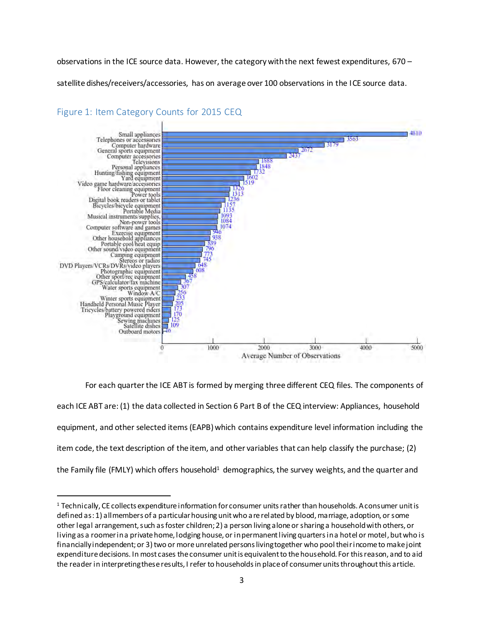observations in the ICE source data. However, the category with the next fewest expenditures, 670 –

satellite dishes/receivers/accessories, has on average over 100 observations in the ICE source data.



## <span id="page-4-0"></span>Figure 1: Item Category Counts for 2015 CEQ

l

For each quarter the ICE ABT is formed by merging three different CEQ files. The components of each ICE ABT are: (1) the data collected in Section 6 Part B of the CEQ interview: Appliances, household equipment, and other selected items (EAPB) which contains expenditure level information including the item code, the text description of the item, and other variables that can help classify the purchase; (2) the Family file (FMLY) which offers household<sup>1</sup> demographics, the survey weights, and the quarter and

<sup>1</sup> Technically, CE collects expenditure information for consumer units rather than households. A consumer unit is defined as: 1) all members of a particular housing unit who are related by blood, marriage, adoption, or some other legal arrangement, such as foster children; 2) a person living alone or sharing a household with others, or living as a roomer in a private home, lodging house, or in permanent living quarters in a hotel or motel, but who is financially independent; or 3) two or more unrelated persons living together who pool their income to make joint expenditure decisions. In most cases the consumer unit is equivalent to the household. For this reason, and to aid the reader in interpreting these results, I refer to households in place of consumer units throughout this article.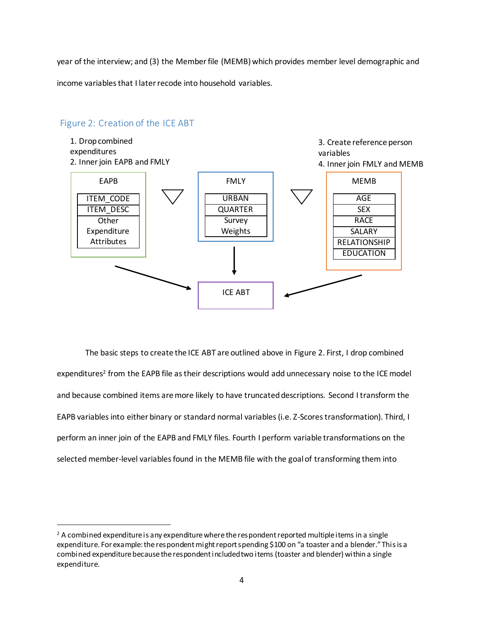year of the interview; and (3) the Member file (MEMB) which provides member level demographic and

income variables that I later recode into household variables.

## Figure 2: Creation of the ICE ABT

l



The basic steps to create the ICE ABT are outlined above in Figure 2. First, I drop combined expenditures<sup>2</sup> from the EAPB file as their descriptions would add unnecessary noise to the ICE model and because combined items are more likely to have truncated descriptions. Second I transform the EAPB variables into either binary or standard normal variables (i.e. Z-Scores transformation). Third, I perform an inner join of the EAPB and FMLY files. Fourth I perform variable transformations on the selected member-level variables found in the MEMB file with the goal of transforming them into

 $^2$  A combined expenditure is any expenditure where the respondent reported multiple items in a single expenditure. For example: the respondent might report spending \$100 on "a toaster and a blender." This is a combined expenditure because the respondent included two items (toaster and blender) within a single expenditure.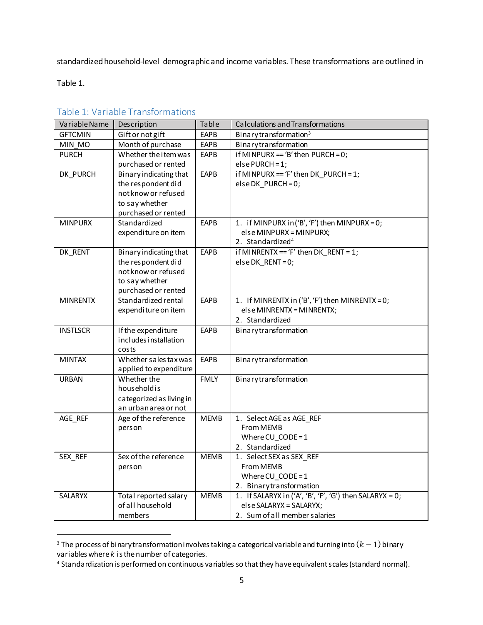standardized household-level demographic and income variables. These transformations are outlined in

Table 1.

l

| Variable Name   | Description                               | Table       | Calculations and Transformations                          |  |  |
|-----------------|-------------------------------------------|-------------|-----------------------------------------------------------|--|--|
| <b>GFTCMIN</b>  | Gift or not gift                          | <b>EAPB</b> | Binary transformation <sup>3</sup>                        |  |  |
| MIN MO          | Month of purchase                         | <b>EAPB</b> | Binarytransformation                                      |  |  |
| <b>PURCH</b>    | Whether the item was                      | <b>EAPB</b> | if MINPURX == 'B' then PURCH = $0$ ;                      |  |  |
|                 | purchased or rented                       |             | $else$ PURCH = 1;                                         |  |  |
| DK_PURCH        | Binary indicating that                    | <b>EAPB</b> | if MINPURX == 'F' then DK PURCH = $1$ ;                   |  |  |
|                 | the respondent did                        |             | $else DK_PURCH = 0;$                                      |  |  |
|                 | not know or refused                       |             |                                                           |  |  |
|                 | to say whether                            |             |                                                           |  |  |
|                 | purchased or rented                       |             |                                                           |  |  |
| <b>MINPURX</b>  | Standardized                              | <b>EAPB</b> | 1. if MINPURX in ('B', 'F') then MINPURX = 0;             |  |  |
|                 | expenditure on item                       |             | else MINPURX = MINPURX;                                   |  |  |
|                 |                                           |             | 2. Standardized <sup>4</sup>                              |  |  |
| DK_RENT         | Binaryindicating that                     | <b>EAPB</b> | if MINRENTX == 'F' then $DK$ RENT = 1;                    |  |  |
|                 | the respondent did                        |             | $else DK_RENT = 0;$                                       |  |  |
|                 | not know or refused                       |             |                                                           |  |  |
|                 | to say whether                            |             |                                                           |  |  |
|                 | purchased or rented                       |             |                                                           |  |  |
| <b>MINRENTX</b> | Standardized rental                       | <b>EAPB</b> | 1. If MINRENTX in ('B', 'F') then MINRENTX = 0;           |  |  |
|                 | expenditure on item                       |             | else MINRENTX = MINRENTX;                                 |  |  |
|                 |                                           |             | 2. Standardized                                           |  |  |
| <b>INSTLSCR</b> | If the expenditure                        | EAPB        | Binarytransformation                                      |  |  |
|                 | includes installation                     |             |                                                           |  |  |
|                 | costs                                     |             |                                                           |  |  |
| <b>MINTAX</b>   | Whether sales tax was                     | <b>EAPB</b> | Binarytransformation                                      |  |  |
|                 | applied to expenditure                    |             |                                                           |  |  |
| <b>URBAN</b>    | Whether the                               | <b>FMLY</b> | Binarytransformation                                      |  |  |
|                 | householdis                               |             |                                                           |  |  |
|                 | categorized as living in                  |             |                                                           |  |  |
|                 | an urbanarea or not                       |             |                                                           |  |  |
| AGE REF         | Age of the reference                      | <b>MEMB</b> | 1. Select AGE as AGE REF                                  |  |  |
|                 | person                                    |             | <b>From MEMB</b>                                          |  |  |
|                 |                                           |             | Where $CU$ <sub>_CODE</sub> = 1                           |  |  |
|                 | Sex of the reference                      | <b>MEMB</b> | 2. Standardized                                           |  |  |
| SEX_REF         |                                           |             | 1. Select SEX as SEX_REF                                  |  |  |
|                 | person                                    |             | From MEMB                                                 |  |  |
|                 |                                           |             | Where CU $CODE = 1$                                       |  |  |
|                 |                                           |             | 2. Binarytransformation                                   |  |  |
| <b>SALARYX</b>  | Total reported salary<br>of all household | <b>MEMB</b> | 1. If SALARYX in $('A', 'B', 'F', 'G')$ then SALARYX = 0; |  |  |
|                 |                                           |             | else SALARYX = SALARYX;                                   |  |  |
|                 | members                                   |             | 2. Sum of all member salaries                             |  |  |

### <span id="page-6-0"></span>Table 1: Variable Transformations

<sup>&</sup>lt;sup>3</sup> The process of binary transformation involves taking a categorical variable and turning into  $(k-1)$  binary variables where  $k$  is the number of categories.

<sup>4</sup> Standardization is performed on continuous variables so that they have equivalent scales (standard normal).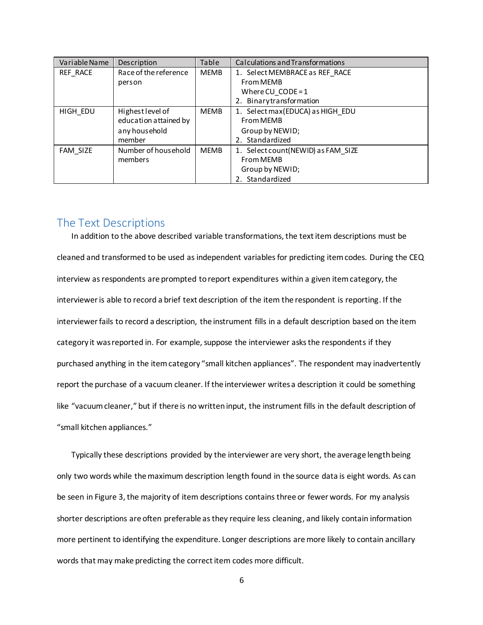| Variable Name | Description           | Table       | Calculations and Transformations   |
|---------------|-----------------------|-------------|------------------------------------|
| REF RACE      | Race of the reference | <b>MEMB</b> | 1. Select MEMBRACE as REF RACE     |
|               | person                |             | From MEMB                          |
|               |                       |             | Where $CU$ $CODE = 1$              |
|               |                       |             | 2. Binarytransformation            |
| HIGH EDU      | Highest level of      | <b>MEMB</b> | 1. Select max (EDUCA) as HIGH EDU  |
|               | education attained by |             | From MEMB                          |
|               | any household         |             | Group by NEWID;                    |
|               | member                |             | 2. Standardized                    |
| FAM SIZE      | Number of household   | <b>MEMB</b> | 1. Select count(NEWID) as FAM SIZE |
|               | members               |             | From MEMB                          |
|               |                       |             | Group by NEWID;                    |
|               |                       |             | 2. Standardized                    |

## <span id="page-7-0"></span>The Text Descriptions

In addition to the above described variable transformations, the text item descriptions must be cleaned and transformed to be used as independent variables for predicting item codes. During the CEQ interview as respondents are prompted to report expenditures within a given item category, the interviewer is able to record a brief text description of the item the respondent is reporting. If the interviewer fails to record a description, the instrument fills in a default description based on the item category it was reported in. For example, suppose the interviewer asks the respondents if they purchased anything in the item category "small kitchen appliances". The respondent may inadvertently report the purchase of a vacuum cleaner. If the interviewer writes a description it could be something like "vacuum cleaner," but if there is no written input, the instrument fills in the default description of "small kitchen appliances."

Typically these descriptions provided by the interviewer are very short, the average length being only two words while the maximum description length found in the source data is eight words. As can be seen in Figure 3, the majority of item descriptions contains three or fewer words. For my analysis shorter descriptions are often preferable as they require less cleaning, and likely contain information more pertinent to identifying the expenditure. Longer descriptions are more likely to contain ancillary words that may make predicting the correct item codes more difficult.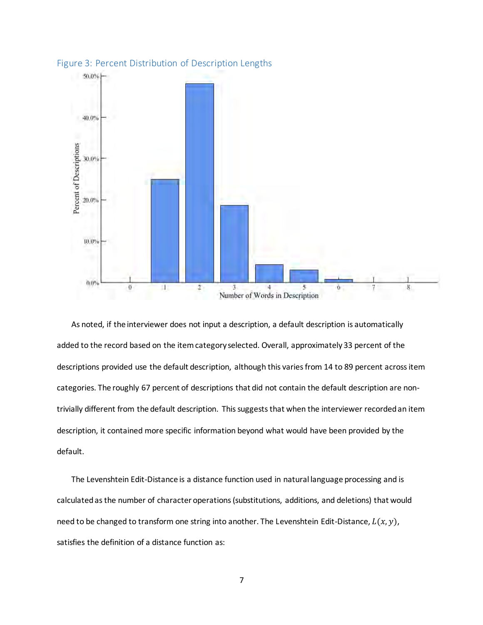

<span id="page-8-0"></span>

As noted, if the interviewer does not input a description, a default description is automatically added to the record based on the item category selected. Overall, approximately 33 percent of the descriptions provided use the default description, although this varies from 14 to 89 percent across item categories. The roughly 67 percent of descriptions that did not contain the default description are nontrivially different from the default description. This suggests that when the interviewer recorded an item description, it contained more specific information beyond what would have been provided by the default.

The Levenshtein Edit-Distance is a distance function used in natural language processing and is calculated as the number of character operations (substitutions, additions, and deletions) that would need to be changed to transform one string into another. The Levenshtein Edit-Distance,  $L(x, y)$ , satisfies the definition of a distance function as: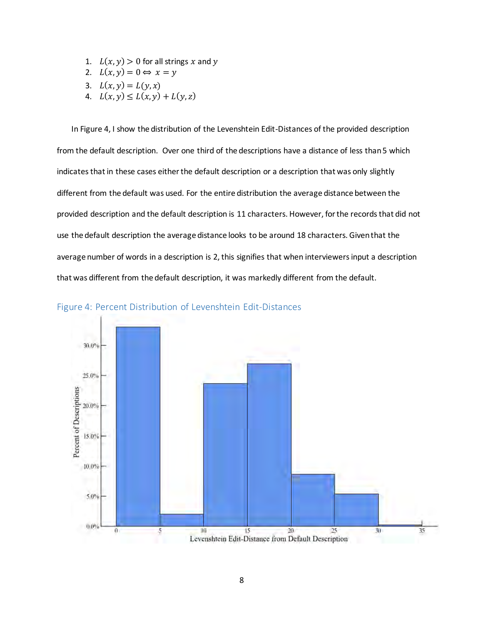- 1.  $L(x, y) > 0$  for all strings x and y
- 2.  $L(x, y) = 0 \Leftrightarrow x = y$
- 3.  $L(x, y) = L(y, x)$
- 4.  $L(x, y) \le L(x, y) + L(y, z)$

In Figure 4, I show the distribution of the Levenshtein Edit-Distances of the provided description from the default description. Over one third of the descriptions have a distance of less than 5 which indicates that in these cases either the default description or a description that was only slightly different from the default was used. For the entire distribution the average distance between the provided description and the default description is 11 characters. However, for the records that did not use the default description the average distance looks to be around 18 characters. Given that the average number of words in a description is 2, this signifies that when interviewers input a description that was different from the default description, it was markedly different from the default.



<span id="page-9-0"></span>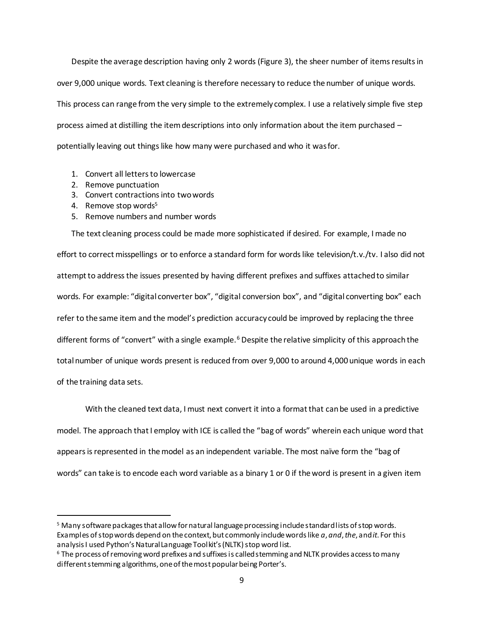Despite the average description having only 2 words (Figure 3), the sheer number of items results in over 9,000 unique words. Text cleaning is therefore necessary to reduce the number of unique words. This process can range from the very simple to the extremely complex. I use a relatively simple five step process aimed at distilling the item descriptions into only information about the item purchased – potentially leaving out things like how many were purchased and who it was for.

- 1. Convert all letters to lowercase
- 2. Remove punctuation
- 3. Convert contractions into two words
- 4. Remove stop words<sup>5</sup>

l

5. Remove numbers and number words

The text cleaning process could be made more sophisticated if desired. For example, I made no effort to correct misspellings or to enforce a standard form for words like television/t.v./tv. I also did not attempt to address the issues presented by having different prefixes and suffixes attached to similar words. For example: "digital converter box", "digital conversion box", and "digital converting box" each refer to the same item and the model's prediction accuracy could be improved by replacing the three different forms of "convert" with a single example.<sup>6</sup> Despite the relative simplicity of this approach the total number of unique words present is reduced from over 9,000 to around 4,000 unique words in each of the training data sets.

 With the cleaned text data, I must next convert it into a format that can be used in a predictive model. The approach that I employ with ICE is called the "bag of words" wherein each unique word that appears is represented in the model as an independent variable. The most naïve form the "bag of words" can take is to encode each word variable as a binary 1 or 0 if the word is present in a given item

<sup>&</sup>lt;sup>5</sup> Many software packages that allow for natural language processing include standard lists of stop words. Examples of stop words depend on the context, but commonly include words like *a*, *and*, *the*, and *it*. For this analysis I used Python's Natural Language Toolkit's (NLTK) stop word list.

 $^6$  The process of removing word prefixes and suffixes is called stemming and NLTK provides access to many different stemming algorithms, one of the most popular being Porter's.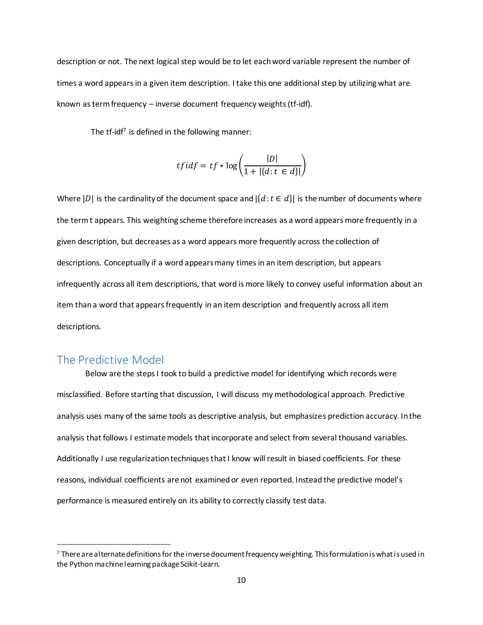description or not. The next logical step would be to let each word variable represent the number of times a word appears in a given item description. I take this one additional step by utilizing what are known as term frequency – inverse document frequency weights (tf-idf).

The tf-idf<sup>7</sup> is defined in the following manner:

$$
tfidf = tf * \log\left(\frac{|D|}{1 + |\{d : t \in d\}|}\right)
$$

Where  $|D|$  is the cardinality of the document space and  $|\{d : t \in d\}|$  is the number of documents where the term t appears. This weighting scheme therefore increases as a word appears more frequently in a given description, but decreases as a word appears more frequently across the collection of descriptions. Conceptually if a word appears many times in an item description, but appears infrequently across all item descriptions, that word is more likely to convey useful information about an item than a word that appears frequently in an item description and frequently across all item descriptions.

## <span id="page-11-0"></span>The Predictive Model

l

 Below are the steps I took to build a predictive model for identifying which records were misclassified. Before starting that discussion, I will discuss my methodological approach. Predictive analysis uses many of the same tools as descriptive analysis, but emphasizes prediction accuracy. In the analysis that follows I estimate models that incorporate and select from several thousand variables. Additionally I use regularization techniques that I know will result in biased coefficients. For these reasons, individual coefficients are not examined or even reported. Instead the predictive model's performance is measured entirely on its ability to correctly classify test data.

 $^7$  There are alternate definitions for the inverse document frequency weighting. This formulation is what is used in the Python machine learning package Scikit-Learn.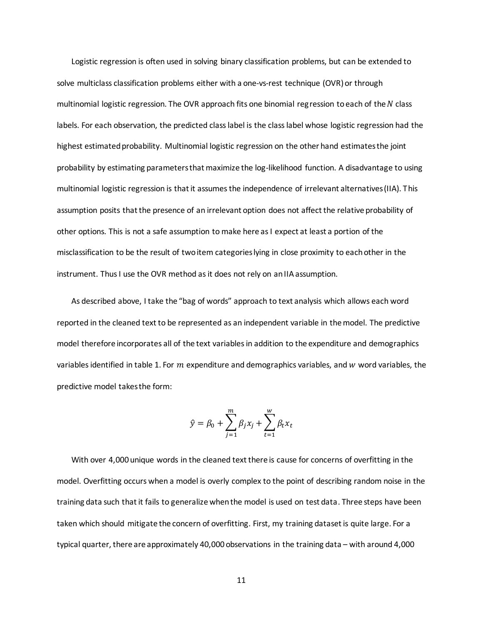Logistic regression is often used in solving binary classification problems, but can be extended to solve multiclass classification problems either with a one-vs-rest technique (OVR) or through multinomial logistic regression. The OVR approach fits one binomial regression to each of the  $N$  class labels. For each observation, the predicted class label is the class label whose logistic regression had the highest estimated probability. Multinomial logistic regression on the other hand estimates the joint probability by estimating parameters that maximize the log-likelihood function. A disadvantage to using multinomial logistic regression is that it assumes the independence of irrelevant alternatives (IIA). This assumption posits that the presence of an irrelevant option does not affect the relative probability of other options. This is not a safe assumption to make here as I expect at least a portion of the misclassification to be the result of two item categories lying in close proximity to each other in the instrument. Thus I use the OVR method as it does not rely on an IIA assumption.

As described above, I take the "bag of words" approach to text analysis which allows each word reported in the cleaned text to be represented as an independent variable in the model. The predictive model therefore incorporates all of the text variables in addition to the expenditure and demographics variables identified in table 1. For  $m$  expenditure and demographics variables, and  $w$  word variables, the predictive model takes the form:

$$
\hat{y} = \beta_0 + \sum_{j=1}^m \beta_j x_j + \sum_{t=1}^w \beta_t x_t
$$

With over 4,000 unique words in the cleaned text there is cause for concerns of overfitting in the model. Overfitting occurs when a model is overly complex to the point of describing random noise in the training data such that it fails to generalize when the model is used on test data. Three steps have been taken which should mitigate the concern of overfitting. First, my training dataset is quite large. For a typical quarter, there are approximately 40,000 observations in the training data – with around 4,000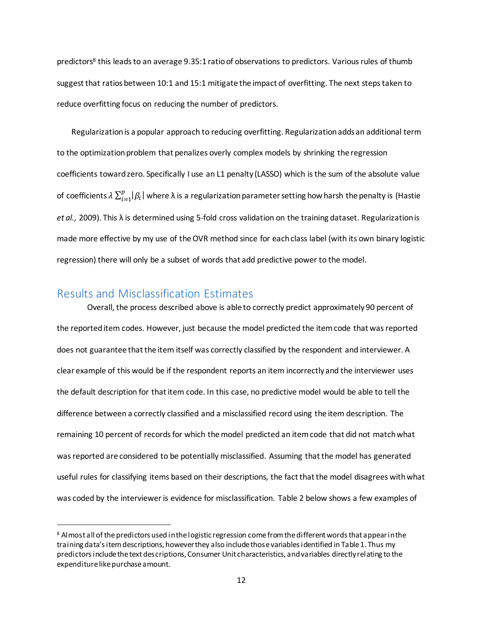predictors<sup>8</sup> this leads to an average 9.35:1 ratio of observations to predictors. Various rules of thumb suggest that ratios between 10:1 and 15:1 mitigate the impact of overfitting. The next steps taken to reduce overfitting focus on reducing the number of predictors.

Regularization is a popular approach to reducing overfitting. Regularization adds an additional term to the optimization problem that penalizes overly complex models by shrinking the regression coefficients toward zero. Specifically I use an L1 penalty (LASSO) which is the sum of the absolute value of coefficients  $\lambda\sum_{i=1}^p\lvert\beta_i\rvert$  where λ is a regularization parameter setting how harsh the penalty is (Hastie *et al.,* 2009). This λ is determined using 5-fold cross validation on the training dataset. Regularization is made more effective by my use of the OVR method since for each class label (with its own binary logistic regression) there will only be a subset of words that add predictive power to the model.

## <span id="page-13-0"></span>Results and Misclassification Estimates

l

 Overall, the process described above is able to correctly predict approximately 90 percent of the reported item codes. However, just because the model predicted the item code that was reported does not guarantee that the item itself was correctly classified by the respondent and interviewer. A clear example of this would be if the respondent reports an item incorrectly and the interviewer uses the default description for that item code. In this case, no predictive model would be able to tell the difference between a correctly classified and a misclassified record using the item description. The remaining 10 percent of records for which the model predicted an item code that did not match what was reported are considered to be potentially misclassified. Assuming that the model has generated useful rules for classifying items based on their descriptions, the fact that the model disagrees with what was coded by the interviewer is evidence for misclassification. Table 2 below shows a few examples of

 $^8$  Almost all of the predictors used in the logistic regression come from the different words that appear in the training data's item descriptions, however they also include those variables identified in Table 1. Thus my predictors include the text descriptions, Consumer Unit characteristics, and variables directly relating to the expenditure like purchase amount.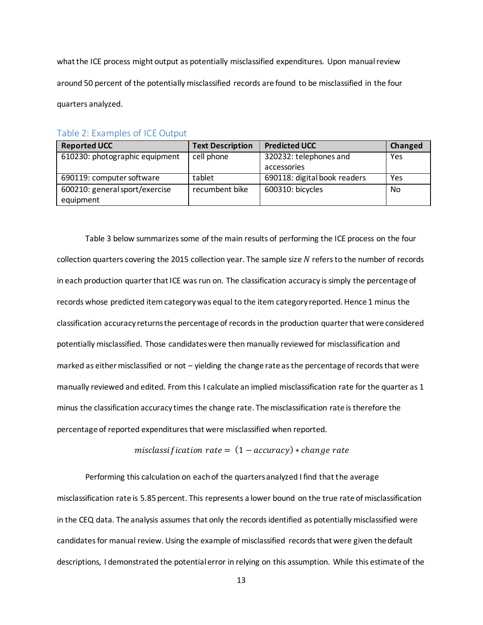what the ICE process might output as potentially misclassified expenditures. Upon manual review around 50 percent of the potentially misclassified records are found to be misclassified in the four quarters analyzed.

#### <span id="page-14-0"></span>Table 2: Examples of ICE Output

| <b>Reported UCC</b>            | <b>Text Description</b> | <b>Predicted UCC</b>         | Changed |
|--------------------------------|-------------------------|------------------------------|---------|
| 610230: photographic equipment | cell phone              | 320232: telephones and       | Yes     |
|                                |                         | accessories                  |         |
| 690119: computer software      | tablet                  | 690118: digital book readers | Yes     |
| 600210: general sport/exercise | recumbent bike          | 600310: bicycles             | No      |
| equipment                      |                         |                              |         |

Table 3 below summarizes some of the main results of performing the ICE process on the four collection quarters covering the 2015 collection year. The sample size  $N$  refers to the number of records in each production quarter that ICE was run on. The classification accuracy is simply the percentage of records whose predicted item category was equal to the item category reported. Hence 1 minus the classification accuracy returns the percentage of records in the production quarter that were considered potentially misclassified. Those candidates were then manually reviewed for misclassification and marked as either misclassified or not – yielding the change rate as the percentage of records that were manually reviewed and edited. From this I calculate an implied misclassification rate for the quarter as 1 minus the classification accuracy times the change rate. The misclassification rate is therefore the percentage of reported expenditures that were misclassified when reported.

#### misclassification  $rate = (1 - accuracy) * change rate$

Performing this calculation on each of the quarters analyzed I find that the average misclassification rate is 5.85 percent. This represents a lower bound on the true rate of misclassification in the CEQ data. The analysis assumes that only the records identified as potentially misclassified were candidates for manual review. Using the example of misclassified records that were given the default descriptions, I demonstrated the potential error in relying on this assumption. While this estimate of the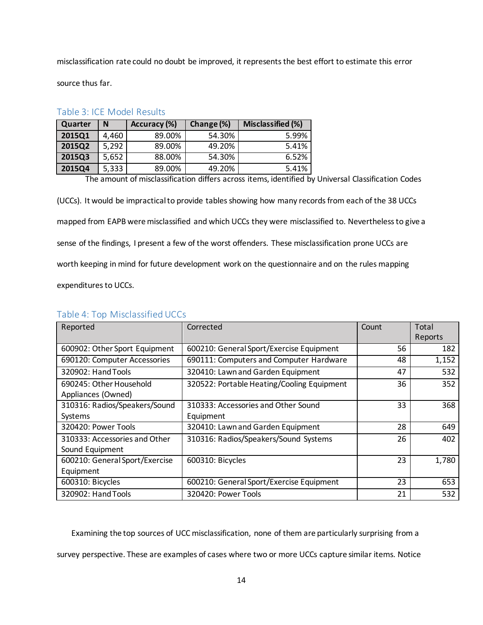misclassification rate could no doubt be improved, it represents the best effort to estimate this error

source thus far.

| Quarter | N     | Accuracy (%) | Change (%) | Misclassified (%) |  |  |
|---------|-------|--------------|------------|-------------------|--|--|
| 2015Q1  | 4,460 | 89.00%       | 54.30%     | 5.99%             |  |  |
| 2015Q2  | 5,292 | 89.00%       | 49.20%     | 5.41%             |  |  |
| 2015Q3  | 5,652 | 88.00%       | 54.30%     | 6.52%             |  |  |
| 2015Q4  | 5,333 | 89.00%       | 49.20%     | 5.41%             |  |  |

#### <span id="page-15-0"></span>Table 3: ICE Model Results

The amount of misclassification differs across items, identified by Universal Classification Codes

(UCCs). It would be impractical to provide tables showing how many records from each of the 38 UCCs mapped from EAPB were misclassified and which UCCs they were misclassified to. Nevertheless to give a sense of the findings, I present a few of the worst offenders. These misclassification prone UCCs are worth keeping in mind for future development work on the questionnaire and on the rules mapping expenditures to UCCs.

| Reported                       | Corrected                                  | Count | Total   |
|--------------------------------|--------------------------------------------|-------|---------|
|                                |                                            |       | Reports |
| 600902: Other Sport Equipment  | 600210: General Sport/Exercise Equipment   | 56    | 182     |
| 690120: Computer Accessories   | 690111: Computers and Computer Hardware    | 48    | 1,152   |
| 320902: Hand Tools             | 320410: Lawn and Garden Equipment          | 47    | 532     |
| 690245: Other Household        | 320522: Portable Heating/Cooling Equipment | 36    | 352     |
| Appliances (Owned)             |                                            |       |         |
| 310316: Radios/Speakers/Sound  | 310333: Accessories and Other Sound        | 33    | 368     |
| Systems                        | Equipment                                  |       |         |
| 320420: Power Tools            | 320410: Lawn and Garden Equipment          | 28    | 649     |
| 310333: Accessories and Other  | 310316: Radios/Speakers/Sound Systems      | 26    | 402     |
| Sound Equipment                |                                            |       |         |
| 600210: General Sport/Exercise | 600310: Bicycles                           | 23    | 1,780   |
| Equipment                      |                                            |       |         |
| 600310: Bicycles               | 600210: General Sport/Exercise Equipment   | 23    | 653     |
| 320902: Hand Tools             | 320420: Power Tools                        | 21    | 532     |

#### <span id="page-15-1"></span>Table 4: Top Misclassified UCCs

Examining the top sources of UCC misclassification, none of them are particularly surprising from a

survey perspective. These are examples of cases where two or more UCCs capture similar items. Notice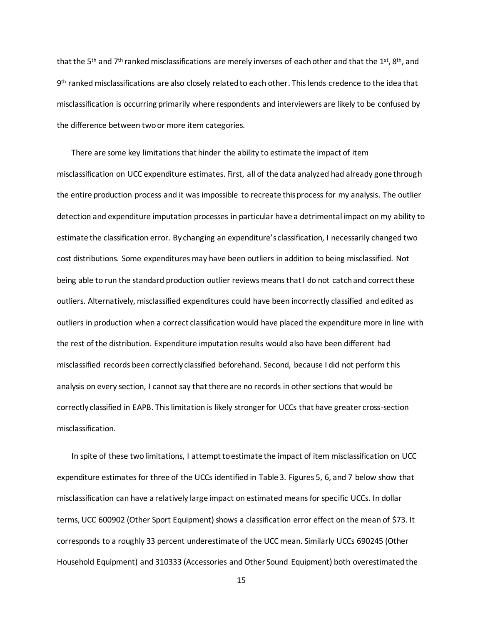that the 5<sup>th</sup> and 7<sup>th</sup> ranked misclassifications are merely inverses of each other and that the 1<sup>st</sup>, 8<sup>th</sup>, and 9 th ranked misclassifications are also closely related to each other. This lends credence to the idea that misclassification is occurring primarily where respondents and interviewers are likely to be confused by the difference between two or more item categories.

There are some key limitations that hinder the ability to estimate the impact of item misclassification on UCC expenditure estimates. First, all of the data analyzed had already gone through the entire production process and it was impossible to recreate this process for my analysis. The outlier detection and expenditure imputation processes in particular have a detrimental impact on my ability to estimate the classification error. By changing an expenditure's classification, I necessarily changed two cost distributions. Some expenditures may have been outliers in addition to being misclassified. Not being able to run the standard production outlier reviews means that I do not catch and correct these outliers. Alternatively, misclassified expenditures could have been incorrectly classified and edited as outliers in production when a correct classification would have placed the expenditure more in line with the rest of the distribution. Expenditure imputation results would also have been different had misclassified records been correctly classified beforehand. Second, because I did not perform this analysis on every section, I cannot say that there are no records in other sections that would be correctly classified in EAPB. This limitation is likely stronger for UCCs that have greater cross-section misclassification.

In spite of these two limitations, I attempt to estimate the impact of item misclassification on UCC expenditure estimates for three of the UCCs identified in Table 3. Figures 5, 6, and 7 below show that misclassification can have a relatively large impact on estimated means for specific UCCs. In dollar terms, UCC 600902 (Other Sport Equipment) shows a classification error effect on the mean of \$73. It corresponds to a roughly 33 percent underestimate of the UCC mean. Similarly UCCs 690245 (Other Household Equipment) and 310333 (Accessories and Other Sound Equipment) both overestimated the

15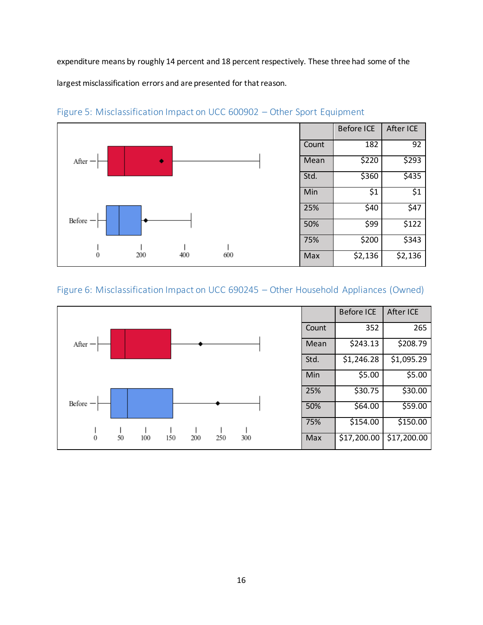expenditure means by roughly 14 percent and 18 percent respectively. These three had some of the

largest misclassification errors and are presented for that reason.



## <span id="page-17-0"></span>Figure 5: Misclassification Impact on UCC 600902 – Other Sport Equipment

## <span id="page-17-1"></span>Figure 6: Misclassification Impact on UCC 690245 – Other Household Appliances (Owned)

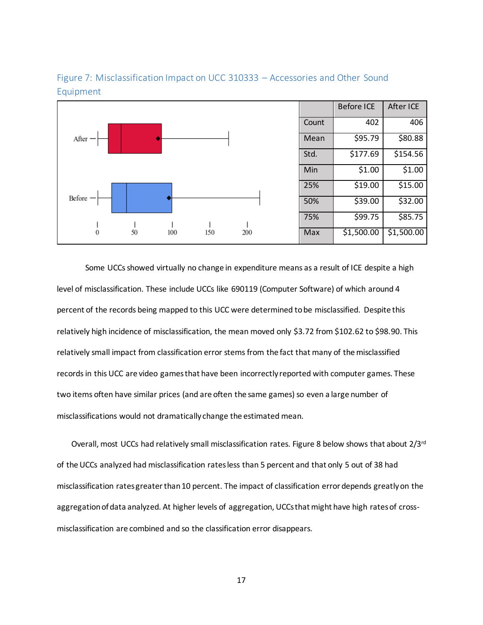

<span id="page-18-0"></span>Figure 7: Misclassification Impact on UCC 310333 – Accessories and Other Sound Equipment

 Some UCCs showed virtually no change in expenditure means as a result of ICE despite a high level of misclassification. These include UCCs like 690119 (Computer Software) of which around 4 percent of the records being mapped to this UCC were determined to be misclassified. Despite this relatively high incidence of misclassification, the mean moved only \$3.72 from \$102.62 to \$98.90. This relatively small impact from classification error stems from the fact that many of the misclassified records in this UCC are video games that have been incorrectly reported with computer games. These two items often have similar prices (and are often the same games) so even a large number of misclassifications would not dramatically change the estimated mean.

Overall, most UCCs had relatively small misclassification rates. Figure 8 below shows that about  $2/3^{rd}$ of the UCCs analyzed had misclassification rates less than 5 percent and that only 5 out of 38 had misclassification rates greater than 10 percent. The impact of classification error depends greatly on the aggregation of data analyzed. At higher levels of aggregation, UCCs that might have high rates of crossmisclassification are combined and so the classification error disappears.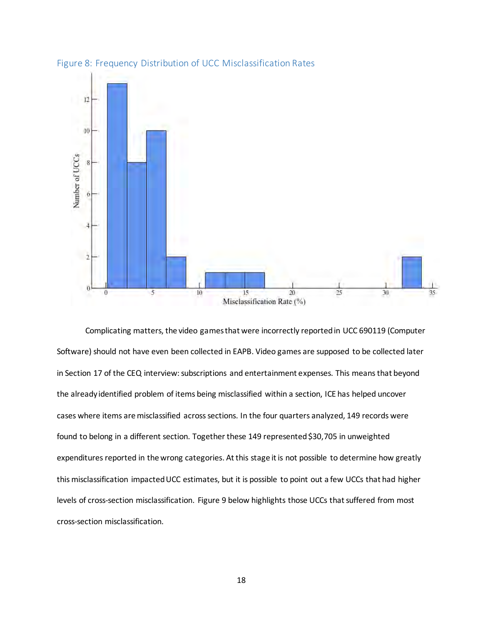

<span id="page-19-0"></span>Figure 8: Frequency Distribution of UCC Misclassification Rates

 Complicating matters, the video games that were incorrectly reported in UCC 690119 (Computer Software) should not have even been collected in EAPB. Video games are supposed to be collected later in Section 17 of the CEQ interview: subscriptions and entertainment expenses. This means that beyond the already identified problem of items being misclassified within a section, ICE has helped uncover cases where items are misclassified across sections. In the four quarters analyzed, 149 records were found to belong in a different section. Together these 149 represented \$30,705 in unweighted expenditures reported in the wrong categories. At this stage it is not possible to determine how greatly this misclassification impacted UCC estimates, but it is possible to point out a few UCCs that had higher levels of cross-section misclassification. Figure 9 below highlights those UCCs that suffered from most cross-section misclassification.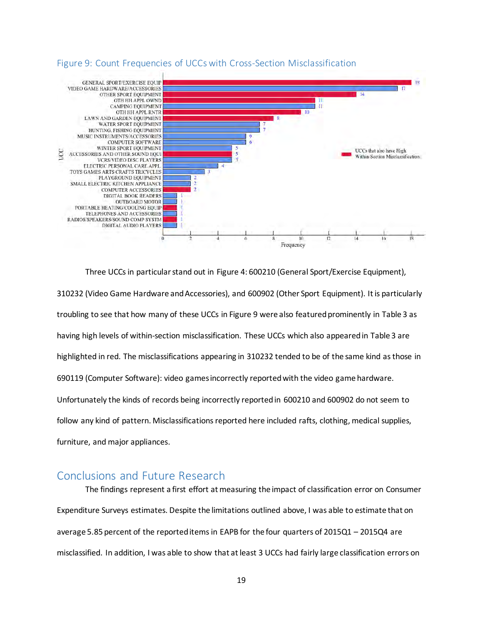

#### <span id="page-20-0"></span>Figure 9: Count Frequencies of UCCs with Cross-Section Misclassification

Three UCCs in particular stand out in Figure 4: 600210 (General Sport/Exercise Equipment), 310232 (Video Game Hardware and Accessories), and 600902 (Other Sport Equipment). It is particularly troubling to see that how many of these UCCs in Figure 9 were also featured prominently in Table 3 as having high levels of within-section misclassification. These UCCs which also appeared in Table 3 are highlighted in red. The misclassifications appearing in 310232 tended to be of the same kind as those in 690119 (Computer Software): video games incorrectly reported with the video game hardware. Unfortunately the kinds of records being incorrectly reported in 600210 and 600902 do not seem to follow any kind of pattern. Misclassifications reported here included rafts, clothing, medical supplies, furniture, and major appliances.

## <span id="page-20-1"></span>Conclusions and Future Research

The findings represent a first effort at measuring the impact of classification error on Consumer Expenditure Surveys estimates. Despite the limitations outlined above, I was able to estimate that on average 5.85 percent of the reported items in EAPB for the four quarters of 2015Q1 – 2015Q4 are misclassified. In addition, I was able to show that at least 3 UCCs had fairly large classification errors on